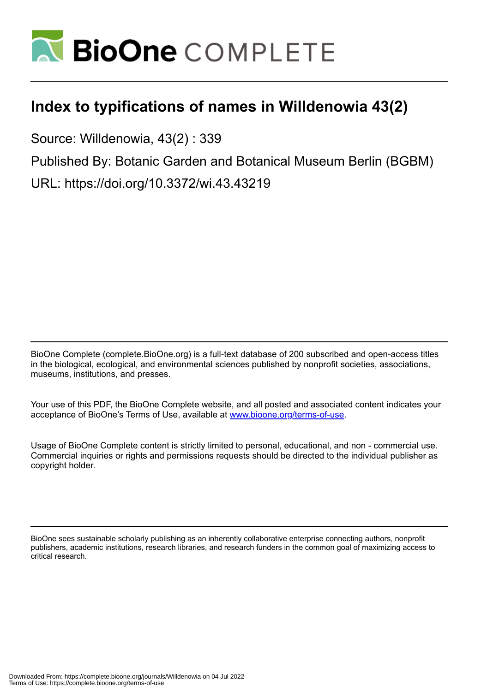

## **Index to typifications of names in Willdenowia 43(2)**

Source: Willdenowia, 43(2) : 339

Published By: Botanic Garden and Botanical Museum Berlin (BGBM)

URL: https://doi.org/10.3372/wi.43.43219

BioOne Complete (complete.BioOne.org) is a full-text database of 200 subscribed and open-access titles in the biological, ecological, and environmental sciences published by nonprofit societies, associations, museums, institutions, and presses.

Your use of this PDF, the BioOne Complete website, and all posted and associated content indicates your acceptance of BioOne's Terms of Use, available at www.bioone.org/terms-of-use.

Usage of BioOne Complete content is strictly limited to personal, educational, and non - commercial use. Commercial inquiries or rights and permissions requests should be directed to the individual publisher as copyright holder.

BioOne sees sustainable scholarly publishing as an inherently collaborative enterprise connecting authors, nonprofit publishers, academic institutions, research libraries, and research funders in the common goal of maximizing access to critical research.